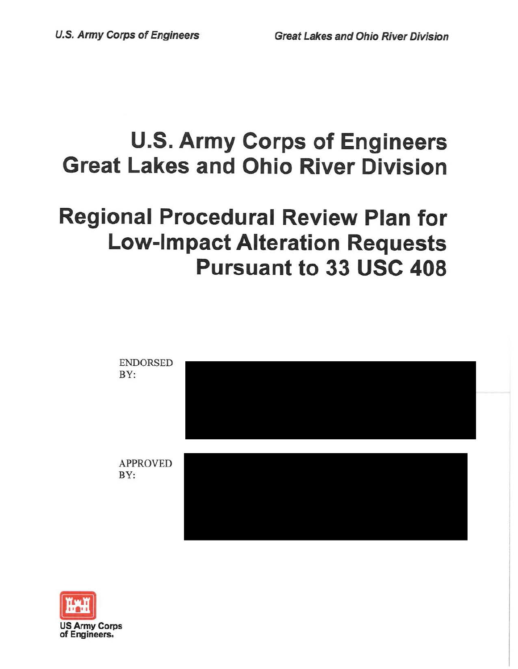# **U.S. Army Corps of Engineers Great Lakes and Ohio River Division**

# **Regional Procedural Review Plan for Low-Impact Alteration Requests Pursuant to 33 USC 408**



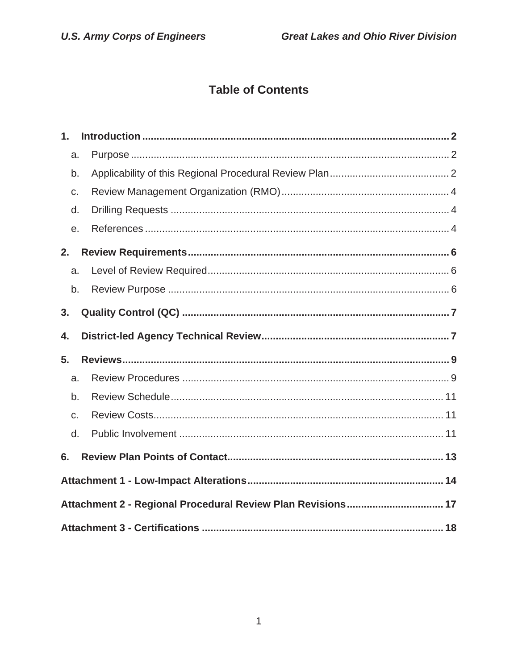# **Table of Contents**

| $\mathbf 1$ .                                               |  |  |  |  |
|-------------------------------------------------------------|--|--|--|--|
| a.                                                          |  |  |  |  |
| b.                                                          |  |  |  |  |
| C.                                                          |  |  |  |  |
| d.                                                          |  |  |  |  |
| е.                                                          |  |  |  |  |
| 2.                                                          |  |  |  |  |
| a.                                                          |  |  |  |  |
| b.                                                          |  |  |  |  |
| 3.                                                          |  |  |  |  |
| 4.                                                          |  |  |  |  |
| 5.                                                          |  |  |  |  |
| a.                                                          |  |  |  |  |
| b.                                                          |  |  |  |  |
| C.                                                          |  |  |  |  |
| d.                                                          |  |  |  |  |
| 6.                                                          |  |  |  |  |
|                                                             |  |  |  |  |
| Attachment 2 - Regional Procedural Review Plan Revisions 17 |  |  |  |  |
|                                                             |  |  |  |  |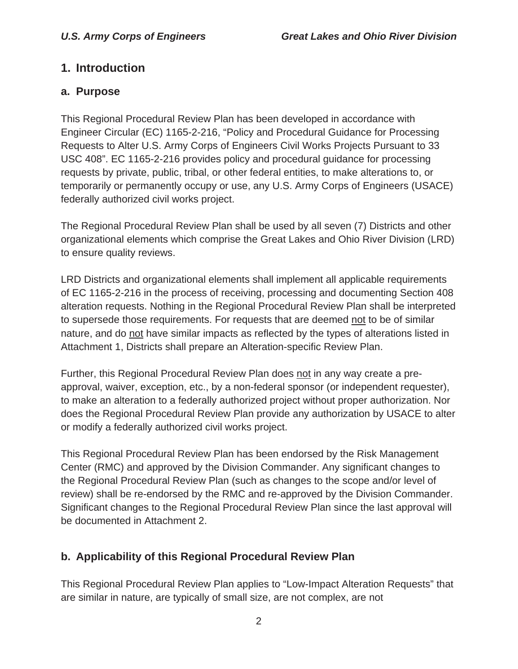#### **1. Introduction**

#### **a. Purpose**

This Regional Procedural Review Plan has been developed in accordance with Engineer Circular (EC) 1165-2-216, "Policy and Procedural Guidance for Processing Requests to Alter U.S. Army Corps of Engineers Civil Works Projects Pursuant to 33 USC 408". EC 1165-2-216 provides policy and procedural guidance for processing requests by private, public, tribal, or other federal entities, to make alterations to, or temporarily or permanently occupy or use, any U.S. Army Corps of Engineers (USACE) federally authorized civil works project.

The Regional Procedural Review Plan shall be used by all seven (7) Districts and other organizational elements which comprise the Great Lakes and Ohio River Division (LRD) to ensure quality reviews.

LRD Districts and organizational elements shall implement all applicable requirements of EC 1165-2-216 in the process of receiving, processing and documenting Section 408 alteration requests. Nothing in the Regional Procedural Review Plan shall be interpreted to supersede those requirements. For requests that are deemed not to be of similar nature, and do not have similar impacts as reflected by the types of alterations listed in Attachment 1, Districts shall prepare an Alteration-specific Review Plan.

Further, this Regional Procedural Review Plan does not in any way create a preapproval, waiver, exception, etc., by a non-federal sponsor (or independent requester), to make an alteration to a federally authorized project without proper authorization. Nor does the Regional Procedural Review Plan provide any authorization by USACE to alter or modify a federally authorized civil works project.

This Regional Procedural Review Plan has been endorsed by the Risk Management Center (RMC) and approved by the Division Commander. Any significant changes to the Regional Procedural Review Plan (such as changes to the scope and/or level of review) shall be re-endorsed by the RMC and re-approved by the Division Commander. Significant changes to the Regional Procedural Review Plan since the last approval will be documented in Attachment 2.

### **b. Applicability of this Regional Procedural Review Plan**

This Regional Procedural Review Plan applies to "Low-Impact Alteration Requests" that are similar in nature, are typically of small size, are not complex, are not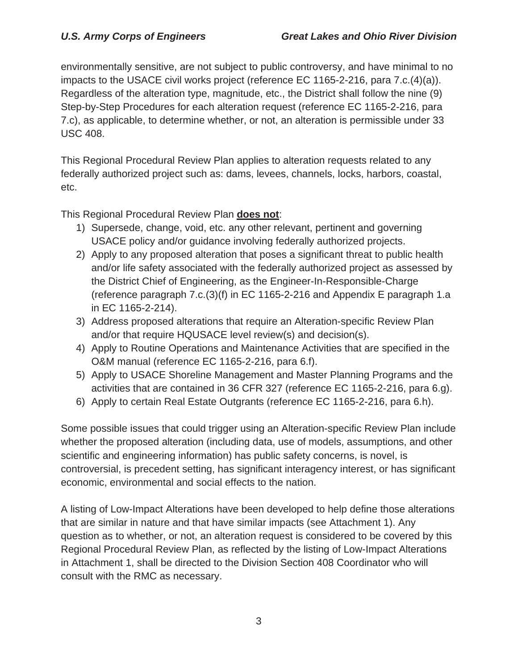environmentally sensitive, are not subject to public controversy, and have minimal to no impacts to the USACE civil works project (reference EC 1165-2-216, para 7.c.(4)(a)). Regardless of the alteration type, magnitude, etc., the District shall follow the nine (9) Step-by-Step Procedures for each alteration request (reference EC 1165-2-216, para 7.c), as applicable, to determine whether, or not, an alteration is permissible under 33 USC 408.

This Regional Procedural Review Plan applies to alteration requests related to any federally authorized project such as: dams, levees, channels, locks, harbors, coastal, etc.

This Regional Procedural Review Plan **does not**:

- 1) Supersede, change, void, etc. any other relevant, pertinent and governing USACE policy and/or guidance involving federally authorized projects.
- 2) Apply to any proposed alteration that poses a significant threat to public health and/or life safety associated with the federally authorized project as assessed by the District Chief of Engineering, as the Engineer-In-Responsible-Charge (reference paragraph 7.c.(3)(f) in EC 1165-2-216 and Appendix E paragraph 1.a in EC 1165-2-214).
- 3) Address proposed alterations that require an Alteration-specific Review Plan and/or that require HQUSACE level review(s) and decision(s).
- 4) Apply to Routine Operations and Maintenance Activities that are specified in the O&M manual (reference EC 1165-2-216, para 6.f).
- 5) Apply to USACE Shoreline Management and Master Planning Programs and the activities that are contained in 36 CFR 327 (reference EC 1165-2-216, para 6.g).
- 6) Apply to certain Real Estate Outgrants (reference EC 1165-2-216, para 6.h).

Some possible issues that could trigger using an Alteration-specific Review Plan include whether the proposed alteration (including data, use of models, assumptions, and other scientific and engineering information) has public safety concerns, is novel, is controversial, is precedent setting, has significant interagency interest, or has significant economic, environmental and social effects to the nation.

A listing of Low-Impact Alterations have been developed to help define those alterations that are similar in nature and that have similar impacts (see Attachment 1). Any question as to whether, or not, an alteration request is considered to be covered by this Regional Procedural Review Plan, as reflected by the listing of Low-Impact Alterations in Attachment 1, shall be directed to the Division Section 408 Coordinator who will consult with the RMC as necessary.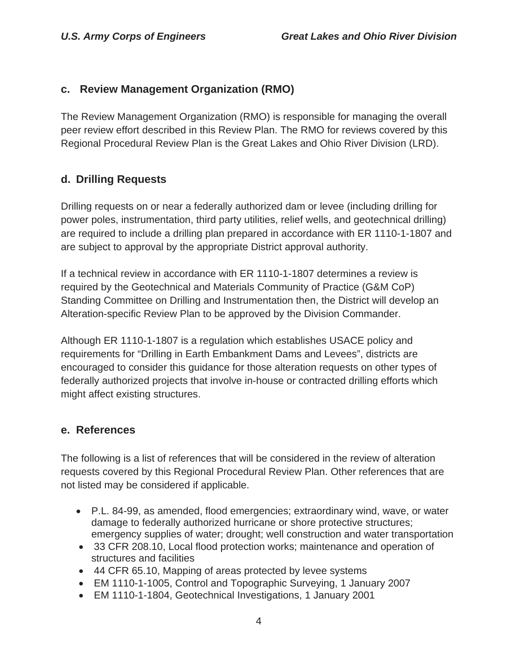#### **c. Review Management Organization (RMO)**

The Review Management Organization (RMO) is responsible for managing the overall peer review effort described in this Review Plan. The RMO for reviews covered by this Regional Procedural Review Plan is the Great Lakes and Ohio River Division (LRD).

#### **d. Drilling Requests**

Drilling requests on or near a federally authorized dam or levee (including drilling for power poles, instrumentation, third party utilities, relief wells, and geotechnical drilling) are required to include a drilling plan prepared in accordance with ER 1110-1-1807 and are subject to approval by the appropriate District approval authority.

If a technical review in accordance with ER 1110-1-1807 determines a review is required by the Geotechnical and Materials Community of Practice (G&M CoP) Standing Committee on Drilling and Instrumentation then, the District will develop an Alteration-specific Review Plan to be approved by the Division Commander.

Although ER 1110-1-1807 is a regulation which establishes USACE policy and requirements for "Drilling in Earth Embankment Dams and Levees", districts are encouraged to consider this guidance for those alteration requests on other types of federally authorized projects that involve in-house or contracted drilling efforts which might affect existing structures.

#### **e. References**

The following is a list of references that will be considered in the review of alteration requests covered by this Regional Procedural Review Plan. Other references that are not listed may be considered if applicable.

- P.L. 84-99, as amended, flood emergencies; extraordinary wind, wave, or water damage to federally authorized hurricane or shore protective structures; emergency supplies of water; drought; well construction and water transportation
- 33 CFR 208.10, Local flood protection works; maintenance and operation of structures and facilities
- 44 CFR 65.10, Mapping of areas protected by levee systems
- EM 1110-1-1005, Control and Topographic Surveying, 1 January 2007
- EM 1110-1-1804, Geotechnical Investigations, 1 January 2001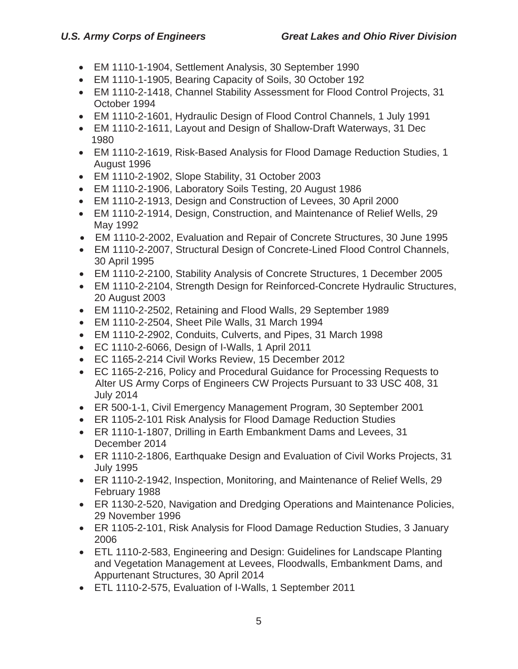- EM 1110-1-1904, Settlement Analysis, 30 September 1990
- EM 1110-1-1905, Bearing Capacity of Soils, 30 October 192
- EM 1110-2-1418, Channel Stability Assessment for Flood Control Projects, 31 October 1994
- EM 1110-2-1601, Hydraulic Design of Flood Control Channels, 1 July 1991
- EM 1110-2-1611, Layout and Design of Shallow-Draft Waterways, 31 Dec 1980
- EM 1110-2-1619, Risk-Based Analysis for Flood Damage Reduction Studies, 1 August 1996
- $\bullet$  EM 1110-2-1902, Slope Stability, 31 October 2003
- EM 1110-2-1906, Laboratory Soils Testing, 20 August 1986
- EM 1110-2-1913, Design and Construction of Levees, 30 April 2000
- EM 1110-2-1914, Design, Construction, and Maintenance of Relief Wells, 29 May 1992
- EM 1110-2-2002, Evaluation and Repair of Concrete Structures, 30 June 1995
- EM 1110-2-2007, Structural Design of Concrete-Lined Flood Control Channels, 30 April 1995
- EM 1110-2-2100, Stability Analysis of Concrete Structures, 1 December 2005
- EM 1110-2-2104, Strength Design for Reinforced-Concrete Hydraulic Structures, 20 August 2003
- EM 1110-2-2502, Retaining and Flood Walls, 29 September 1989
- $\bullet$  EM 1110-2-2504, Sheet Pile Walls, 31 March 1994
- EM 1110-2-2902, Conduits, Culverts, and Pipes, 31 March 1998
- $\bullet$  EC 1110-2-6066, Design of I-Walls, 1 April 2011
- EC 1165-2-214 Civil Works Review, 15 December 2012
- EC 1165-2-216, Policy and Procedural Guidance for Processing Requests to Alter US Army Corps of Engineers CW Projects Pursuant to 33 USC 408, 31 July 2014
- ER 500-1-1, Civil Emergency Management Program, 30 September 2001
- ER 1105-2-101 Risk Analysis for Flood Damage Reduction Studies
- ER 1110-1-1807, Drilling in Earth Embankment Dams and Levees, 31 December 2014
- ER 1110-2-1806, Earthquake Design and Evaluation of Civil Works Projects, 31 July 1995
- ER 1110-2-1942, Inspection, Monitoring, and Maintenance of Relief Wells, 29 February 1988
- ER 1130-2-520, Navigation and Dredging Operations and Maintenance Policies, 29 November 1996
- ER 1105-2-101, Risk Analysis for Flood Damage Reduction Studies, 3 January 2006
- ETL 1110-2-583, Engineering and Design: Guidelines for Landscape Planting and Vegetation Management at Levees, Floodwalls, Embankment Dams, and Appurtenant Structures, 30 April 2014
- **ETL 1110-2-575, Evaluation of I-Walls, 1 September 2011**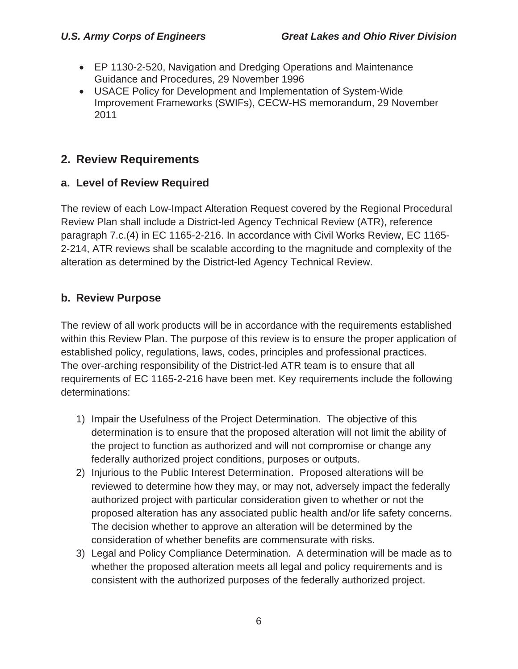- EP 1130-2-520, Navigation and Dredging Operations and Maintenance Guidance and Procedures, 29 November 1996
- USACE Policy for Development and Implementation of System-Wide Improvement Frameworks (SWIFs), CECW-HS memorandum, 29 November 2011

# **2. Review Requirements**

#### **a. Level of Review Required**

The review of each Low-Impact Alteration Request covered by the Regional Procedural Review Plan shall include a District-led Agency Technical Review (ATR), reference paragraph 7.c.(4) in EC 1165-2-216. In accordance with Civil Works Review, EC 1165 2-214, ATR reviews shall be scalable according to the magnitude and complexity of the alteration as determined by the District-led Agency Technical Review.

#### **b. Review Purpose**

The review of all work products will be in accordance with the requirements established within this Review Plan. The purpose of this review is to ensure the proper application of established policy, regulations, laws, codes, principles and professional practices. The over-arching responsibility of the District-led ATR team is to ensure that all requirements of EC 1165-2-216 have been met. Key requirements include the following determinations:

- 1) Impair the Usefulness of the Project Determination. The objective of this determination is to ensure that the proposed alteration will not limit the ability of the project to function as authorized and will not compromise or change any federally authorized project conditions, purposes or outputs.
- 2) Injurious to the Public Interest Determination. Proposed alterations will be reviewed to determine how they may, or may not, adversely impact the federally authorized project with particular consideration given to whether or not the proposed alteration has any associated public health and/or life safety concerns. The decision whether to approve an alteration will be determined by the consideration of whether benefits are commensurate with risks.
- 3) Legal and Policy Compliance Determination. A determination will be made as to whether the proposed alteration meets all legal and policy requirements and is consistent with the authorized purposes of the federally authorized project.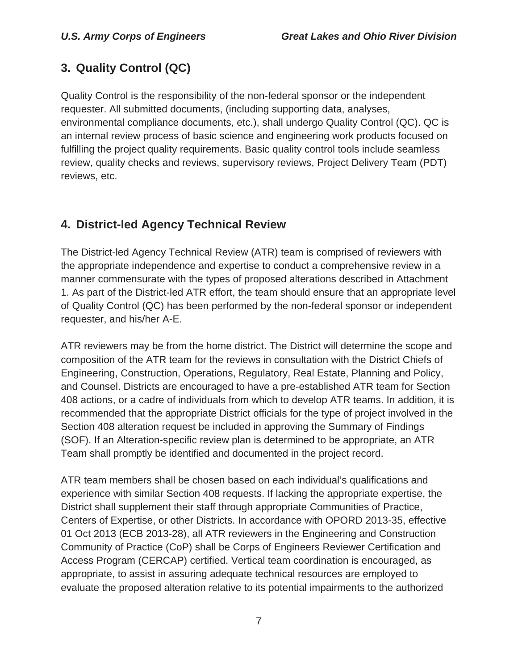# **3. Quality Control (QC)**

Quality Control is the responsibility of the non-federal sponsor or the independent requester. All submitted documents, (including supporting data, analyses, environmental compliance documents, etc.), shall undergo Quality Control (QC). QC is an internal review process of basic science and engineering work products focused on fulfilling the project quality requirements. Basic quality control tools include seamless review, quality checks and reviews, supervisory reviews, Project Delivery Team (PDT) reviews, etc.

# **4. District-led Agency Technical Review**

The District-led Agency Technical Review (ATR) team is comprised of reviewers with the appropriate independence and expertise to conduct a comprehensive review in a manner commensurate with the types of proposed alterations described in Attachment 1. As part of the District-led ATR effort, the team should ensure that an appropriate level of Quality Control (QC) has been performed by the non-federal sponsor or independent requester, and his/her A-E.

ATR reviewers may be from the home district. The District will determine the scope and composition of the ATR team for the reviews in consultation with the District Chiefs of Engineering, Construction, Operations, Regulatory, Real Estate, Planning and Policy, and Counsel. Districts are encouraged to have a pre-established ATR team for Section 408 actions, or a cadre of individuals from which to develop ATR teams. In addition, it is recommended that the appropriate District officials for the type of project involved in the Section 408 alteration request be included in approving the Summary of Findings (SOF). If an Alteration-specific review plan is determined to be appropriate, an ATR Team shall promptly be identified and documented in the project record.

ATR team members shall be chosen based on each individual's qualifications and experience with similar Section 408 requests. If lacking the appropriate expertise, the District shall supplement their staff through appropriate Communities of Practice, Centers of Expertise, or other Districts. In accordance with OPORD 2013-35, effective 01 Oct 2013 (ECB 2013-28), all ATR reviewers in the Engineering and Construction Community of Practice (CoP) shall be Corps of Engineers Reviewer Certification and Access Program (CERCAP) certified. Vertical team coordination is encouraged, as appropriate, to assist in assuring adequate technical resources are employed to evaluate the proposed alteration relative to its potential impairments to the authorized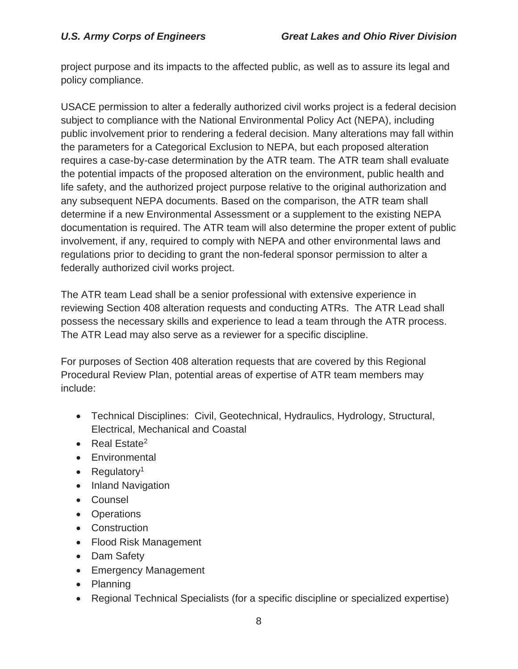project purpose and its impacts to the affected public, as well as to assure its legal and policy compliance.

USACE permission to alter a federally authorized civil works project is a federal decision subject to compliance with the National Environmental Policy Act (NEPA), including public involvement prior to rendering a federal decision. Many alterations may fall within the parameters for a Categorical Exclusion to NEPA, but each proposed alteration requires a case-by-case determination by the ATR team. The ATR team shall evaluate the potential impacts of the proposed alteration on the environment, public health and life safety, and the authorized project purpose relative to the original authorization and any subsequent NEPA documents. Based on the comparison, the ATR team shall determine if a new Environmental Assessment or a supplement to the existing NEPA documentation is required. The ATR team will also determine the proper extent of public involvement, if any, required to comply with NEPA and other environmental laws and regulations prior to deciding to grant the non-federal sponsor permission to alter a federally authorized civil works project.

The ATR team Lead shall be a senior professional with extensive experience in reviewing Section 408 alteration requests and conducting ATRs. The ATR Lead shall possess the necessary skills and experience to lead a team through the ATR process. The ATR Lead may also serve as a reviewer for a specific discipline.

For purposes of Section 408 alteration requests that are covered by this Regional Procedural Review Plan, potential areas of expertise of ATR team members may include:

- Technical Disciplines: Civil, Geotechnical, Hydraulics, Hydrology, Structural, Electrical, Mechanical and Coastal
- $\bullet$  Real Estate<sup>2</sup>
- Environmental
- Regulatory<sup>1</sup>
- Inland Navigation
- Counsel
- Operations
- Construction
- Flood Risk Management
- Dam Safety
- Emergency Management
- Planning
- Regional Technical Specialists (for a specific discipline or specialized expertise)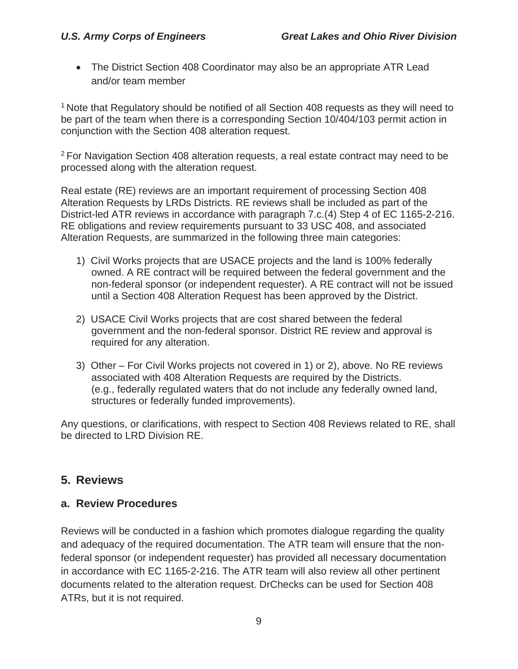• The District Section 408 Coordinator may also be an appropriate ATR Lead and/or team member

<sup>1</sup> Note that Regulatory should be notified of all Section 408 requests as they will need to be part of the team when there is a corresponding Section 10/404/103 permit action in conjunction with the Section 408 alteration request.

2 For Navigation Section 408 alteration requests, a real estate contract may need to be processed along with the alteration request.

Real estate (RE) reviews are an important requirement of processing Section 408 Alteration Requests by LRDs Districts. RE reviews shall be included as part of the District-led ATR reviews in accordance with paragraph 7.c.(4) Step 4 of EC 1165-2-216. RE obligations and review requirements pursuant to 33 USC 408, and associated Alteration Requests, are summarized in the following three main categories:

- 1) Civil Works projects that are USACE projects and the land is 100% federally owned. A RE contract will be required between the federal government and the non-federal sponsor (or independent requester). A RE contract will not be issued until a Section 408 Alteration Request has been approved by the District.
- 2) USACE Civil Works projects that are cost shared between the federal government and the non-federal sponsor. District RE review and approval is required for any alteration.
- 3) Other For Civil Works projects not covered in 1) or 2), above. No RE reviews associated with 408 Alteration Requests are required by the Districts. (e.g., federally regulated waters that do not include any federally owned land, structures or federally funded improvements).

Any questions, or clarifications, with respect to Section 408 Reviews related to RE, shall be directed to LRD Division RE.

#### **5. Reviews**

#### **a. Review Procedures**

Reviews will be conducted in a fashion which promotes dialogue regarding the quality and adequacy of the required documentation. The ATR team will ensure that the nonfederal sponsor (or independent requester) has provided all necessary documentation in accordance with EC 1165-2-216. The ATR team will also review all other pertinent documents related to the alteration request. DrChecks can be used for Section 408 ATRs, but it is not required.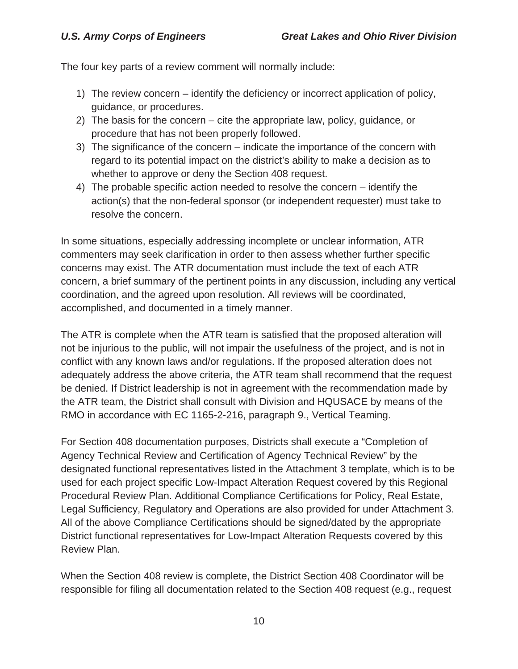The four key parts of a review comment will normally include:

- 1) The review concern identify the deficiency or incorrect application of policy, guidance, or procedures.
- 2) The basis for the concern cite the appropriate law, policy, guidance, or procedure that has not been properly followed.
- 3) The significance of the concern indicate the importance of the concern with regard to its potential impact on the district's ability to make a decision as to whether to approve or deny the Section 408 request.
- 4) The probable specific action needed to resolve the concern identify the action(s) that the non-federal sponsor (or independent requester) must take to resolve the concern.

In some situations, especially addressing incomplete or unclear information, ATR commenters may seek clarification in order to then assess whether further specific concerns may exist. The ATR documentation must include the text of each ATR concern, a brief summary of the pertinent points in any discussion, including any vertical coordination, and the agreed upon resolution. All reviews will be coordinated, accomplished, and documented in a timely manner.

The ATR is complete when the ATR team is satisfied that the proposed alteration will not be injurious to the public, will not impair the usefulness of the project, and is not in conflict with any known laws and/or regulations. If the proposed alteration does not adequately address the above criteria, the ATR team shall recommend that the request be denied. If District leadership is not in agreement with the recommendation made by the ATR team, the District shall consult with Division and HQUSACE by means of the RMO in accordance with EC 1165-2-216, paragraph 9., Vertical Teaming.

For Section 408 documentation purposes, Districts shall execute a "Completion of Agency Technical Review and Certification of Agency Technical Review" by the designated functional representatives listed in the Attachment 3 template, which is to be used for each project specific Low-Impact Alteration Request covered by this Regional Procedural Review Plan. Additional Compliance Certifications for Policy, Real Estate, Legal Sufficiency, Regulatory and Operations are also provided for under Attachment 3. All of the above Compliance Certifications should be signed/dated by the appropriate District functional representatives for Low-Impact Alteration Requests covered by this Review Plan.

When the Section 408 review is complete, the District Section 408 Coordinator will be responsible for filing all documentation related to the Section 408 request (e.g., request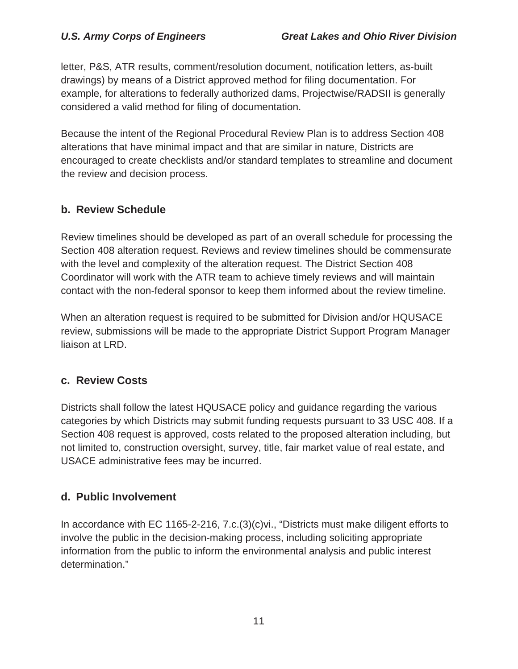letter, P&S, ATR results, comment/resolution document, notification letters, as-built drawings) by means of a District approved method for filing documentation. For example, for alterations to federally authorized dams, Projectwise/RADSII is generally considered a valid method for filing of documentation.

Because the intent of the Regional Procedural Review Plan is to address Section 408 alterations that have minimal impact and that are similar in nature, Districts are encouraged to create checklists and/or standard templates to streamline and document the review and decision process.

#### **b. Review Schedule**

Review timelines should be developed as part of an overall schedule for processing the Section 408 alteration request. Reviews and review timelines should be commensurate with the level and complexity of the alteration request. The District Section 408 Coordinator will work with the ATR team to achieve timely reviews and will maintain contact with the non-federal sponsor to keep them informed about the review timeline.

When an alteration request is required to be submitted for Division and/or HQUSACE review, submissions will be made to the appropriate District Support Program Manager liaison at LRD.

#### **c. Review Costs**

Districts shall follow the latest HQUSACE policy and guidance regarding the various categories by which Districts may submit funding requests pursuant to 33 USC 408. If a Section 408 request is approved, costs related to the proposed alteration including, but not limited to, construction oversight, survey, title, fair market value of real estate, and USACE administrative fees may be incurred.

#### **d. Public Involvement**

In accordance with EC 1165-2-216, 7.c.(3)(c)vi., "Districts must make diligent efforts to involve the public in the decision-making process, including soliciting appropriate information from the public to inform the environmental analysis and public interest determination."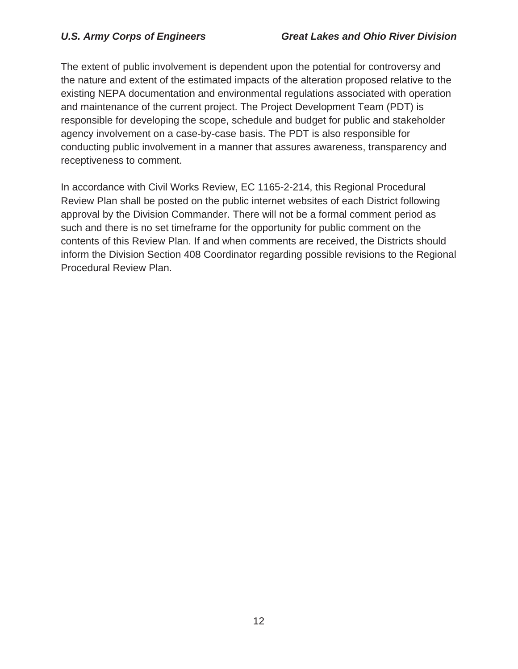The extent of public involvement is dependent upon the potential for controversy and the nature and extent of the estimated impacts of the alteration proposed relative to the existing NEPA documentation and environmental regulations associated with operation and maintenance of the current project. The Project Development Team (PDT) is responsible for developing the scope, schedule and budget for public and stakeholder agency involvement on a case-by-case basis. The PDT is also responsible for conducting public involvement in a manner that assures awareness, transparency and receptiveness to comment.

In accordance with Civil Works Review, EC 1165-2-214, this Regional Procedural Review Plan shall be posted on the public internet websites of each District following approval by the Division Commander. There will not be a formal comment period as such and there is no set timeframe for the opportunity for public comment on the contents of this Review Plan. If and when comments are received, the Districts should inform the Division Section 408 Coordinator regarding possible revisions to the Regional Procedural Review Plan.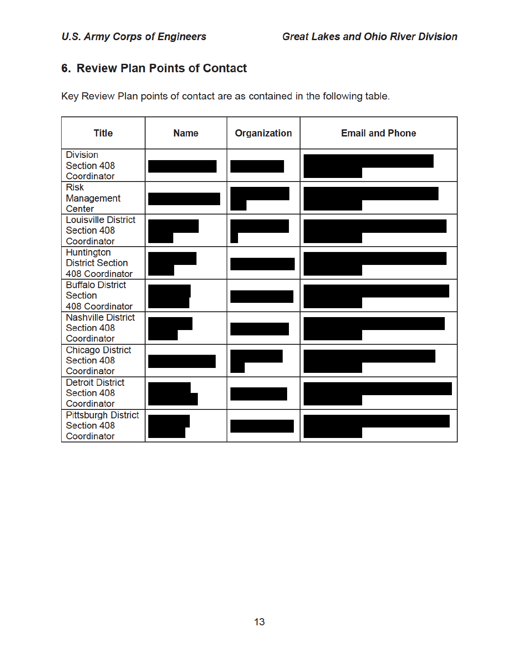# 6. Review Plan Points of Contact

Key Review Plan points of contact are as contained in the following table.

| <b>Title</b>                       | <b>Name</b> | <b>Organization</b> | <b>Email and Phone</b> |
|------------------------------------|-------------|---------------------|------------------------|
| <b>Division</b>                    |             |                     |                        |
| Section 408                        |             |                     |                        |
| Coordinator                        |             |                     |                        |
| <b>Risk</b>                        |             |                     |                        |
| Management                         |             |                     |                        |
| Center                             |             |                     |                        |
| <b>Louisville District</b>         |             |                     |                        |
| Section 408                        |             |                     |                        |
| Coordinator                        |             |                     |                        |
| Huntington                         |             |                     |                        |
| <b>District Section</b>            |             |                     |                        |
| 408 Coordinator                    |             |                     |                        |
| <b>Buffalo District</b><br>Section |             |                     |                        |
| 408 Coordinator                    |             |                     |                        |
| <b>Nashville District</b>          |             |                     |                        |
| Section 408                        |             |                     |                        |
| Coordinator                        |             |                     |                        |
| <b>Chicago District</b>            |             |                     |                        |
| Section 408                        |             |                     |                        |
| Coordinator                        |             |                     |                        |
| <b>Detroit District</b>            |             |                     |                        |
| Section 408                        |             |                     |                        |
| Coordinator                        |             |                     |                        |
| <b>Pittsburgh District</b>         |             |                     |                        |
| Section 408                        |             |                     |                        |
| Coordinator                        |             |                     |                        |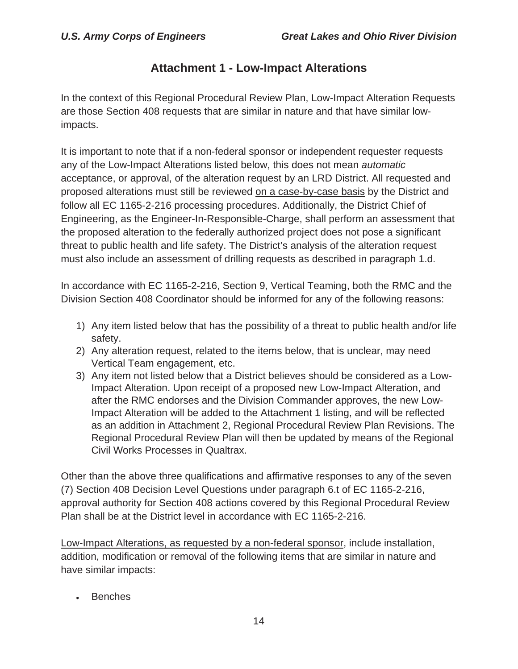#### **Attachment 1 - Low-Impact Alterations**

In the context of this Regional Procedural Review Plan, Low-Impact Alteration Requests are those Section 408 requests that are similar in nature and that have similar lowimpacts.

It is important to note that if a non-federal sponsor or independent requester requests any of the Low-Impact Alterations listed below, this does not mean *automatic*  acceptance, or approval, of the alteration request by an LRD District. All requested and proposed alterations must still be reviewed on a case-by-case basis by the District and follow all EC 1165-2-216 processing procedures. Additionally, the District Chief of Engineering, as the Engineer-In-Responsible-Charge, shall perform an assessment that the proposed alteration to the federally authorized project does not pose a significant threat to public health and life safety. The District's analysis of the alteration request must also include an assessment of drilling requests as described in paragraph 1.d.

In accordance with EC 1165-2-216, Section 9, Vertical Teaming, both the RMC and the Division Section 408 Coordinator should be informed for any of the following reasons:

- 1) Any item listed below that has the possibility of a threat to public health and/or life safety.
- 2) Any alteration request, related to the items below, that is unclear, may need Vertical Team engagement, etc.
- 3) Any item not listed below that a District believes should be considered as a Low-Impact Alteration. Upon receipt of a proposed new Low-Impact Alteration, and after the RMC endorses and the Division Commander approves, the new Low-Impact Alteration will be added to the Attachment 1 listing, and will be reflected as an addition in Attachment 2, Regional Procedural Review Plan Revisions. The Regional Procedural Review Plan will then be updated by means of the Regional Civil Works Processes in Qualtrax.

Other than the above three qualifications and affirmative responses to any of the seven (7) Section 408 Decision Level Questions under paragraph 6.t of EC 1165-2-216, approval authority for Section 408 actions covered by this Regional Procedural Review Plan shall be at the District level in accordance with EC 1165-2-216.

Low-Impact Alterations, as requested by a non-federal sponsor, include installation, addition, modification or removal of the following items that are similar in nature and have similar impacts:

<sup>x</sup> Benches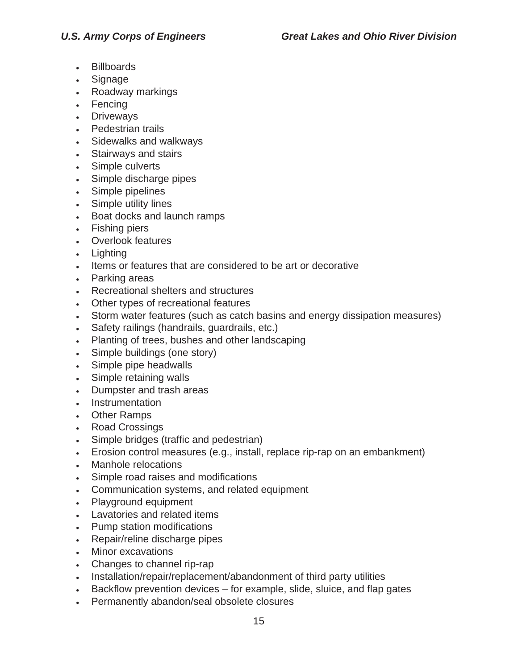- <sup>x</sup> Billboards
- Signage
- Roadway markings
- Fencing
- Driveways
- Pedestrian trails
- Sidewalks and walkways
- Stairways and stairs
- Simple culverts
- Simple discharge pipes
- Simple pipelines
- Simple utility lines
- Boat docks and launch ramps
- Fishing piers
- Overlook features
- Lighting
- Items or features that are considered to be art or decorative
- Parking areas
- Recreational shelters and structures
- Other types of recreational features
- Storm water features (such as catch basins and energy dissipation measures)
- Safety railings (handrails, guardrails, etc.)
- Planting of trees, bushes and other landscaping
- Simple buildings (one story)
- Simple pipe headwalls
- Simple retaining walls
- Dumpster and trash areas
- Instrumentation
- Other Ramps
- Road Crossings
- Simple bridges (traffic and pedestrian)
- Erosion control measures (e.g., install, replace rip-rap on an embankment)
- Manhole relocations
- Simple road raises and modifications
- Communication systems, and related equipment
- Playground equipment
- Lavatories and related items
- Pump station modifications
- Repair/reline discharge pipes
- Minor excavations
- Changes to channel rip-rap
- Installation/repair/replacement/abandonment of third party utilities
- $\cdot$  Backflow prevention devices for example, slide, sluice, and flap gates
- Permanently abandon/seal obsolete closures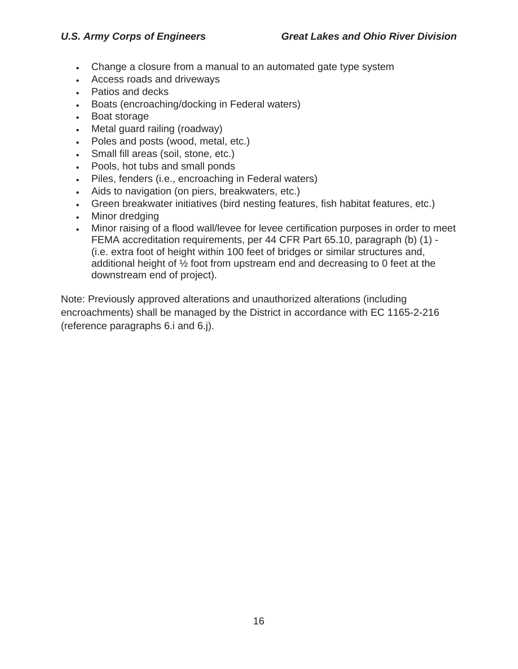- Change a closure from a manual to an automated gate type system
- Access roads and driveways
- Patios and decks
- **Boats (encroaching/docking in Federal waters)**
- Boat storage
- Metal guard railing (roadway)
- Des and posts (wood, metal, etc.)
- Small fill areas (soil, stone, etc.)
- Pools, hot tubs and small ponds
- Diles, fenders (i.e., encroaching in Federal waters)
- D. Aids to navigation (on piers, breakwaters, etc.)
- Green breakwater initiatives (bird nesting features, fish habitat features, etc.)
- Minor dredging
- Minor raising of a flood wall/levee for levee certification purposes in order to meet FEMA accreditation requirements, per 44 CFR Part 65.10, paragraph (b) (1) - (i.e. extra foot of height within 100 feet of bridges or similar structures and, additional height of ½ foot from upstream end and decreasing to 0 feet at the downstream end of project).

Note: Previously approved alterations and unauthorized alterations (including encroachments) shall be managed by the District in accordance with EC 1165-2-216 (reference paragraphs 6.i and 6.j).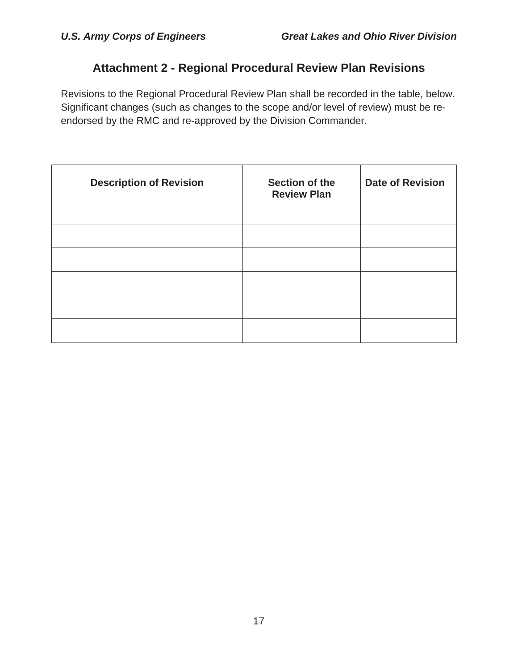# **Attachment 2 - Regional Procedural Review Plan Revisions**

Revisions to the Regional Procedural Review Plan shall be recorded in the table, below. Significant changes (such as changes to the scope and/or level of review) must be reendorsed by the RMC and re-approved by the Division Commander.

| <b>Description of Revision</b> | Section of the<br><b>Review Plan</b> | <b>Date of Revision</b> |
|--------------------------------|--------------------------------------|-------------------------|
|                                |                                      |                         |
|                                |                                      |                         |
|                                |                                      |                         |
|                                |                                      |                         |
|                                |                                      |                         |
|                                |                                      |                         |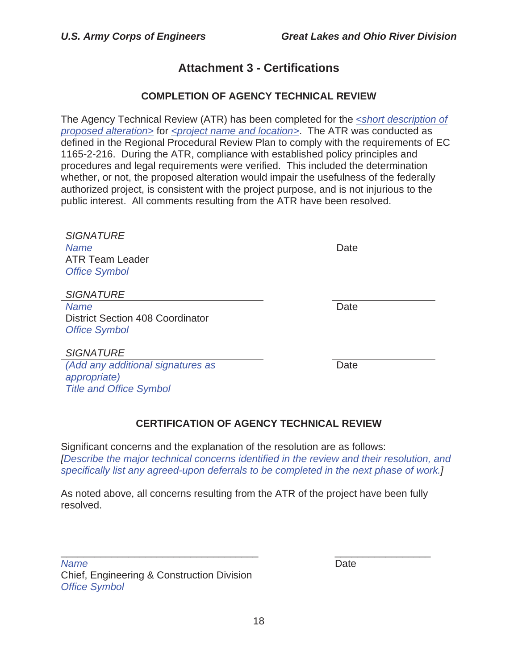### **Attachment 3 - Certifications**

#### **COMPLETION OF AGENCY TECHNICAL REVIEW**

The Agency Technical Review (ATR) has been completed for the *<short description of proposed alteration>* for *<project name and location>*. The ATR was conducted as defined in the Regional Procedural Review Plan to comply with the requirements of EC 1165-2-216. During the ATR, compliance with established policy principles and procedures and legal requirements were verified. This included the determination whether, or not, the proposed alteration would impair the usefulness of the federally authorized project, is consistent with the project purpose, and is not injurious to the public interest. All comments resulting from the ATR have been resolved.

| <b>SIGNATURE</b>                        |      |
|-----------------------------------------|------|
| <b>Name</b>                             | Date |
| <b>ATR Team Leader</b>                  |      |
| <b>Office Symbol</b>                    |      |
|                                         |      |
| <b>SIGNATURE</b>                        |      |
| <b>Name</b>                             | Date |
| <b>District Section 408 Coordinator</b> |      |
| <b>Office Symbol</b>                    |      |
|                                         |      |
| <b>SIGNATURE</b>                        |      |
| (Add any additional signatures as       | Date |
| appropriate)                            |      |
| <b>Title and Office Symbol</b>          |      |
|                                         |      |

#### **CERTIFICATION OF AGENCY TECHNICAL REVIEW**

Significant concerns and the explanation of the resolution are as follows: *[Describe the major technical concerns identified in the review and their resolution, and specifically list any agreed-upon deferrals to be completed in the next phase of work.]* 

As noted above, all concerns resulting from the ATR of the project have been fully resolved.

\_\_\_\_\_\_\_\_\_\_\_\_\_\_\_\_\_\_\_\_\_\_\_\_\_\_\_\_\_\_\_\_\_\_\_ \_\_\_\_\_\_\_\_\_\_\_\_\_\_\_\_\_

*Name* Date **Date** Chief, Engineering & Construction Division *Office Symbol*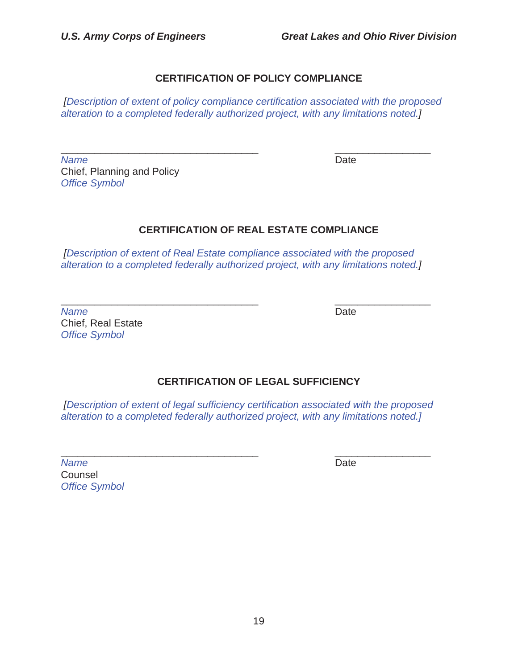#### **CERTIFICATION OF POLICY COMPLIANCE**

*[Description of extent of policy compliance certification associated with the proposed alteration to a completed federally authorized project, with any limitations noted.]* 

*Name* Date **Date** Chief, Planning and Policy *Office Symbol* 

\_\_\_\_\_\_\_\_\_\_\_\_\_\_\_\_\_\_\_\_\_\_\_\_\_\_\_\_\_\_\_\_\_\_\_ \_\_\_\_\_\_\_\_\_\_\_\_\_\_\_\_\_

#### **CERTIFICATION OF REAL ESTATE COMPLIANCE**

*[Description of extent of Real Estate compliance associated with the proposed alteration to a completed federally authorized project, with any limitations noted.]* 

\_\_\_\_\_\_\_\_\_\_\_\_\_\_\_\_\_\_\_\_\_\_\_\_\_\_\_\_\_\_\_\_\_\_\_ \_\_\_\_\_\_\_\_\_\_\_\_\_\_\_\_\_ *Name* Date **Date** Chief, Real Estate *Office Symbol* 

#### **CERTIFICATION OF LEGAL SUFFICIENCY**

*[Description of extent of legal sufficiency certification associated with the proposed alteration to a completed federally authorized project, with any limitations noted.]* 

| <b>Name</b>          | Date |
|----------------------|------|
| Counsel              |      |
| <b>Office Symbol</b> |      |